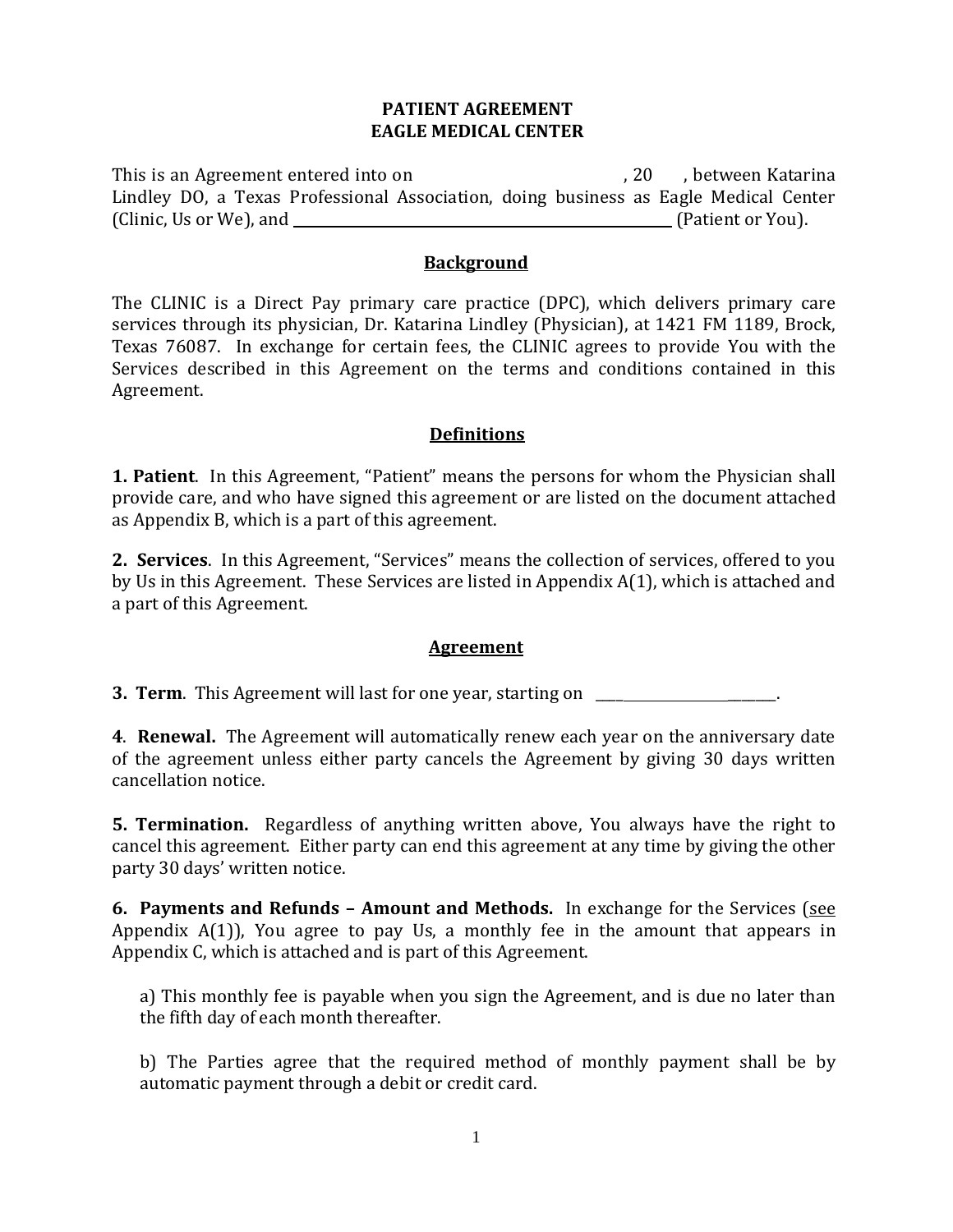## **PATIENT AGREEMENT EAGLE MEDICAL CENTER**

This is an Agreement entered into on the same section of the set of  $\sim$  ,  $20$  , between Katarina Lindley DO, a Texas Professional Association, doing business as Eagle Medical Center (Clinic, Us or We), and (Patient or You).

#### **Background**

The CLINIC is a Direct Pay primary care practice (DPC), which delivers primary care services through its physician, Dr. Katarina Lindley (Physician), at 1421 FM 1189, Brock, Texas 76087. In exchange for certain fees, the CLINIC agrees to provide You with the Services described in this Agreement on the terms and conditions contained in this Agreement.

## **Definitions**

**1. Patient**. In this Agreement, "Patient" means the persons for whom the Physician shall provide care, and who have signed this agreement or are listed on the document attached as Appendix B, which is a part of this agreement.

**2. Services**. In this Agreement, "Services" means the collection of services, offered to you by Us in this Agreement. These Services are listed in Appendix A(1), which is attached and a part of this Agreement.

#### **Agreement**

**3. Term.** This Agreement will last for one year, starting on **Table 2018** 

**4**. **Renewal.** The Agreement will automatically renew each year on the anniversary date of the agreement unless either party cancels the Agreement by giving 30 days written cancellation notice.

**5. Termination.** Regardless of anything written above, You always have the right to cancel this agreement. Either party can end this agreement at any time by giving the other party 30 days' written notice.

**6. Payments and Refunds – Amount and Methods.** In exchange for the Services (see Appendix  $A(1)$ , You agree to pay Us, a monthly fee in the amount that appears in Appendix C, which is attached and is part of this Agreement.

a) This monthly fee is payable when you sign the Agreement, and is due no later than the fifth day of each month thereafter.

b) The Parties agree that the required method of monthly payment shall be by automatic payment through a debit or credit card.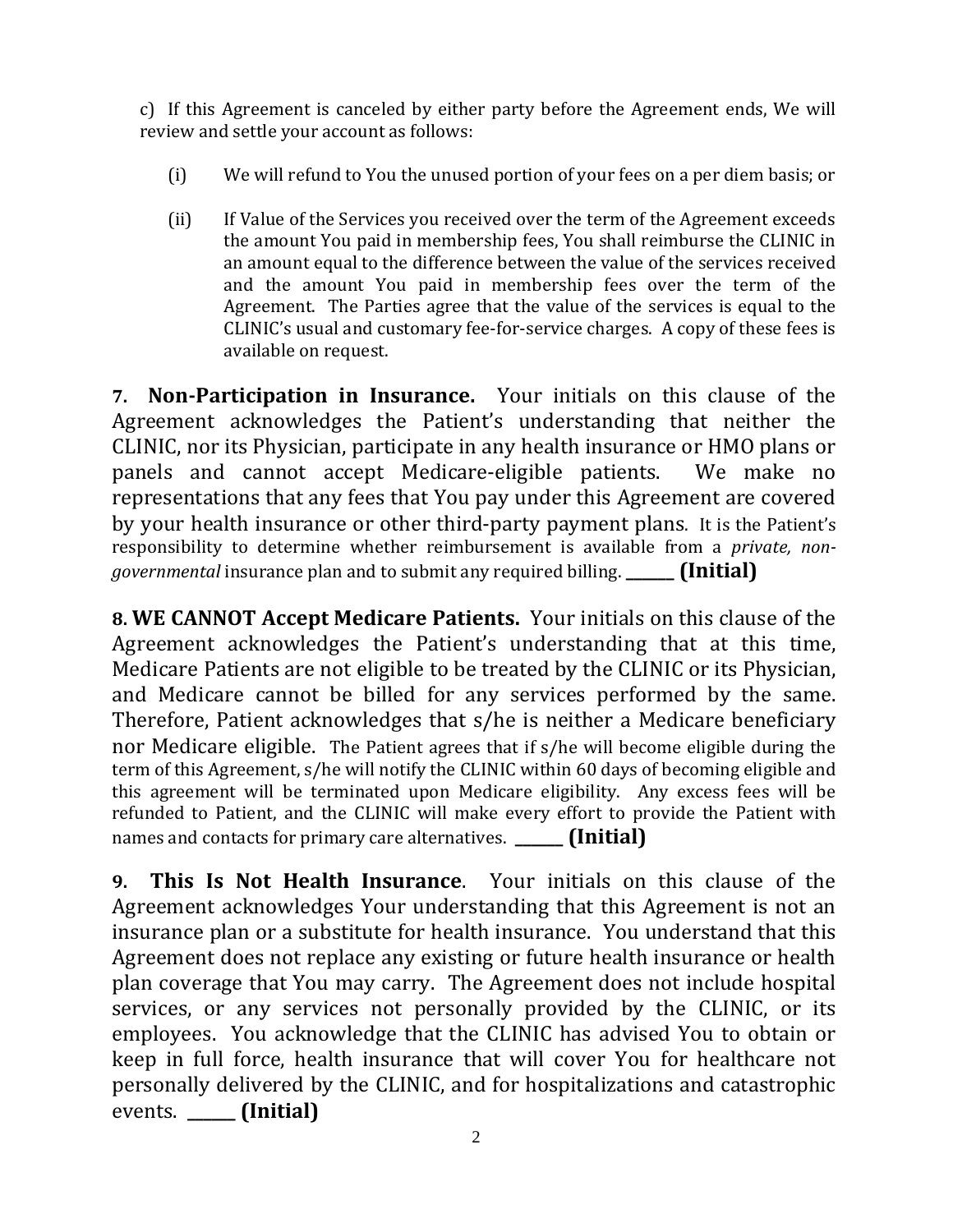c) If this Agreement is canceled by either party before the Agreement ends, We will review and settle your account as follows:

- (i) We will refund to You the unused portion of your fees on a per diem basis; or
- (ii) If Value of the Services you received over the term of the Agreement exceeds the amount You paid in membership fees, You shall reimburse the CLINIC in an amount equal to the difference between the value of the services received and the amount You paid in membership fees over the term of the Agreement. The Parties agree that the value of the services is equal to the CLINIC's usual and customary fee-for-service charges. A copy of these fees is available on request.

**7. Non-Participation in Insurance.** Your initials on this clause of the Agreement acknowledges the Patient's understanding that neither the CLINIC, nor its Physician, participate in any health insurance or HMO plans or panels and cannot accept Medicare-eligible patients. We make no representations that any fees that You pay under this Agreement are covered by your health insurance or other third-party payment plans.It is the Patient's responsibility to determine whether reimbursement is available from a *private, nongovernmental* insurance plan and to submit any required billing. **\_\_\_\_\_\_ (Initial)**

**8. WE CANNOT Accept Medicare Patients.** Your initials on this clause of the Agreement acknowledges the Patient's understanding that at this time, Medicare Patients are not eligible to be treated by the CLINIC or its Physician, and Medicare cannot be billed for any services performed by the same. Therefore, Patient acknowledges that s/he is neither a Medicare beneficiary nor Medicare eligible.The Patient agrees that if s/he will become eligible during the term of this Agreement, s/he will notify the CLINIC within 60 days of becoming eligible and this agreement will be terminated upon Medicare eligibility. Any excess fees will be refunded to Patient, and the CLINIC will make every effort to provide the Patient with names and contacts for primary care alternatives. **\_\_\_\_\_\_ (Initial)**

**9. This Is Not Health Insurance**. Your initials on this clause of the Agreement acknowledges Your understanding that this Agreement is not an insurance plan or a substitute for health insurance. You understand that this Agreement does not replace any existing or future health insurance or health plan coverage that You may carry. The Agreement does not include hospital services, or any services not personally provided by the CLINIC, or its employees. You acknowledge that the CLINIC has advised You to obtain or keep in full force, health insurance that will cover You for healthcare not personally delivered by the CLINIC, and for hospitalizations and catastrophic events. **\_\_\_\_\_\_ (Initial)**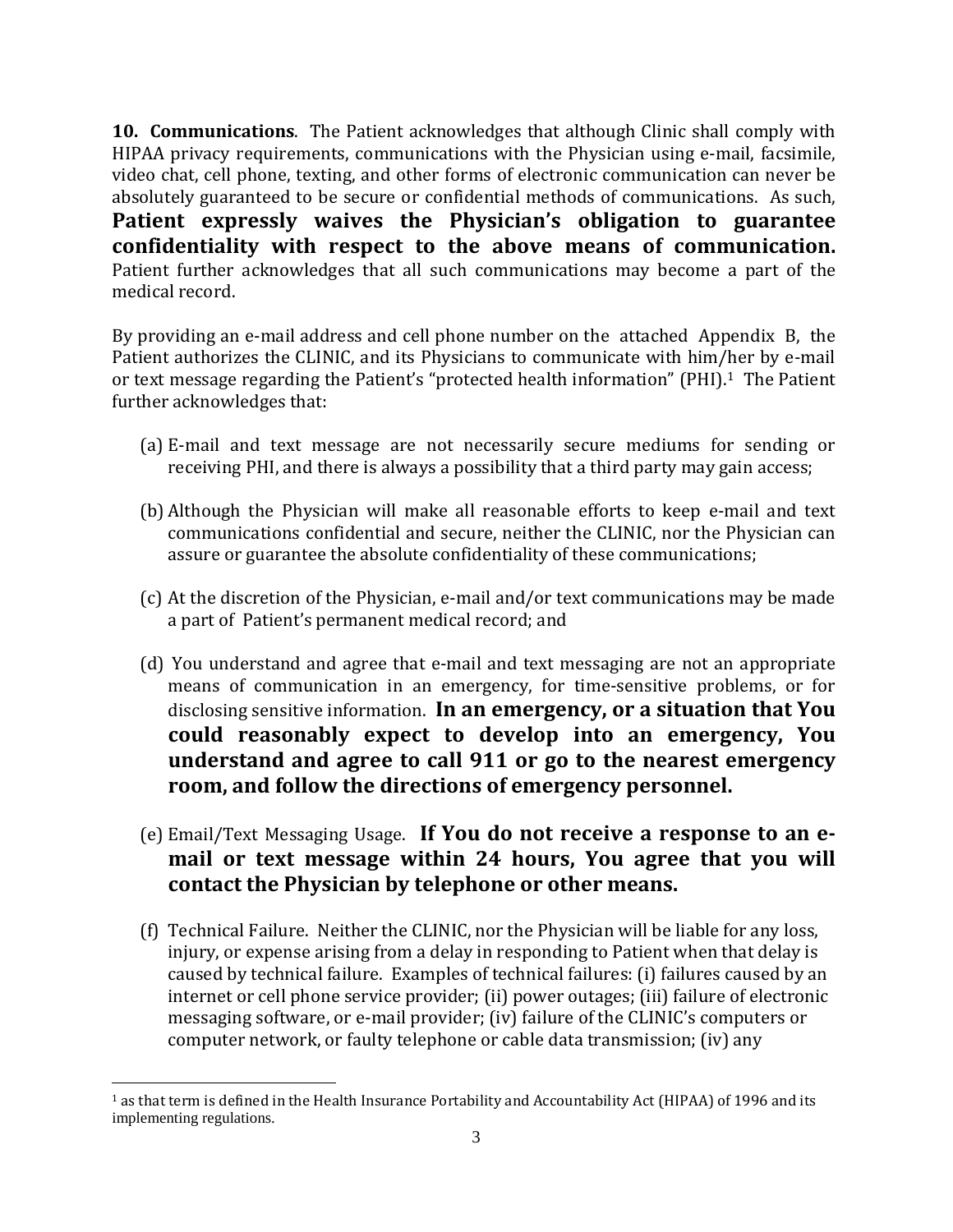**10. Communications**. The Patient acknowledges that although Clinic shall comply with HIPAA privacy requirements, communications with the Physician using e-mail, facsimile, video chat, cell phone, texting, and other forms of electronic communication can never be absolutely guaranteed to be secure or confidential methods of communications. As such, **Patient expressly waives the Physician's obligation to guarantee confidentiality with respect to the above means of communication.**  Patient further acknowledges that all such communications may become a part of the medical record.

By providing an e-mail address and cell phone number on the attached Appendix B, the Patient authorizes the CLINIC, and its Physicians to communicate with him/her by e-mail or text message regarding the Patient's "protected health information" (PHI).<sup>[1](#page-2-0)</sup> The Patient further acknowledges that:

- (a) E-mail and text message are not necessarily secure mediums for sending or receiving PHI, and there is always a possibility that a third party may gain access;
- (b) Although the Physician will make all reasonable efforts to keep e-mail and text communications confidential and secure, neither the CLINIC, nor the Physician can assure or guarantee the absolute confidentiality of these communications;
- (c) At the discretion of the Physician, e-mail and/or text communications may be made a part of Patient's permanent medical record; and
- (d) You understand and agree that e-mail and text messaging are not an appropriate means of communication in an emergency, for time-sensitive problems, or for disclosing sensitive information. **In an emergency, or a situation that You could reasonably expect to develop into an emergency, You understand and agree to call 911 or go to the nearest emergency room, and follow the directions of emergency personnel.**
- (e) Email/Text Messaging Usage. **If You do not receive a response to an email or text message within 24 hours, You agree that you will contact the Physician by telephone or other means.**
- (f) Technical Failure. Neither the CLINIC, nor the Physician will be liable for any loss, injury, or expense arising from a delay in responding to Patient when that delay is caused by technical failure. Examples of technical failures: (i) failures caused by an internet or cell phone service provider; (ii) power outages; (iii) failure of electronic messaging software, or e-mail provider; (iv) failure of the CLINIC's computers or computer network, or faulty telephone or cable data transmission; (iv) any

l

<span id="page-2-0"></span> $1$  as that term is defined in the Health Insurance Portability and Accountability Act (HIPAA) of 1996 and its implementing regulations.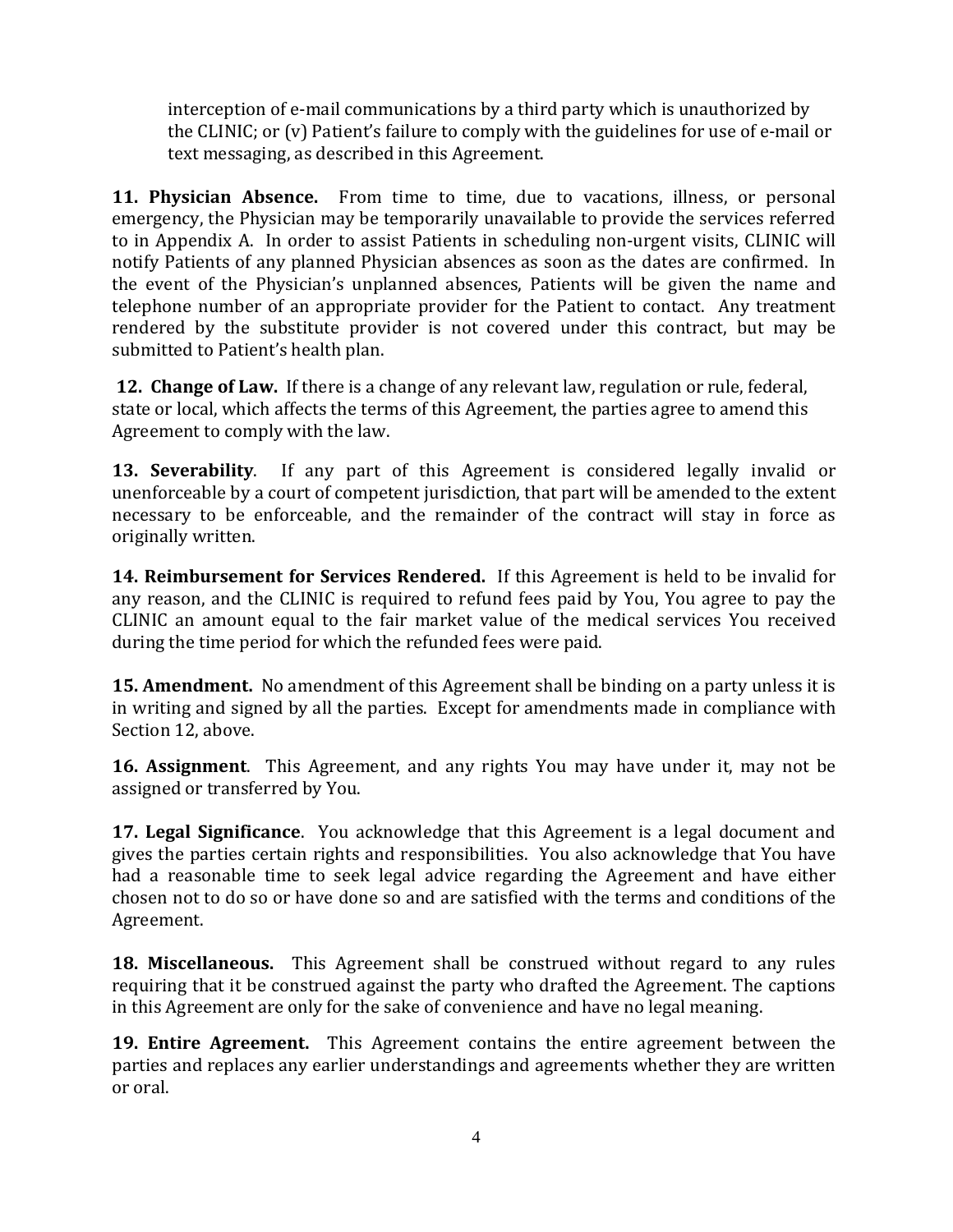interception of e-mail communications by a third party which is unauthorized by the CLINIC; or (v) Patient's failure to comply with the guidelines for use of e-mail or text messaging, as described in this Agreement.

**11. Physician Absence.** From time to time, due to vacations, illness, or personal emergency, the Physician may be temporarily unavailable to provide the services referred to in Appendix A. In order to assist Patients in scheduling non-urgent visits, CLINIC will notify Patients of any planned Physician absences as soon as the dates are confirmed. In the event of the Physician's unplanned absences, Patients will be given the name and telephone number of an appropriate provider for the Patient to contact. Any treatment rendered by the substitute provider is not covered under this contract, but may be submitted to Patient's health plan.

**12. Change of Law.** If there is a change of any relevant law, regulation or rule, federal, state or local, which affects the terms of this Agreement, the parties agree to amend this Agreement to comply with the law.

**13. Severability**. If any part of this Agreement is considered legally invalid or unenforceable by a court of competent jurisdiction, that part will be amended to the extent necessary to be enforceable, and the remainder of the contract will stay in force as originally written.

**14. Reimbursement for Services Rendered.** If this Agreement is held to be invalid for any reason, and the CLINIC is required to refund fees paid by You, You agree to pay the CLINIC an amount equal to the fair market value of the medical services You received during the time period for which the refunded fees were paid.

**15. Amendment.** No amendment of this Agreement shall be binding on a party unless it is in writing and signed by all the parties. Except for amendments made in compliance with Section 12, above.

**16. Assignment**. This Agreement, and any rights You may have under it, may not be assigned or transferred by You.

**17. Legal Significance**. You acknowledge that this Agreement is a legal document and gives the parties certain rights and responsibilities. You also acknowledge that You have had a reasonable time to seek legal advice regarding the Agreement and have either chosen not to do so or have done so and are satisfied with the terms and conditions of the Agreement.

**18. Miscellaneous.** This Agreement shall be construed without regard to any rules requiring that it be construed against the party who drafted the Agreement. The captions in this Agreement are only for the sake of convenience and have no legal meaning.

**19. Entire Agreement.** This Agreement contains the entire agreement between the parties and replaces any earlier understandings and agreements whether they are written or oral.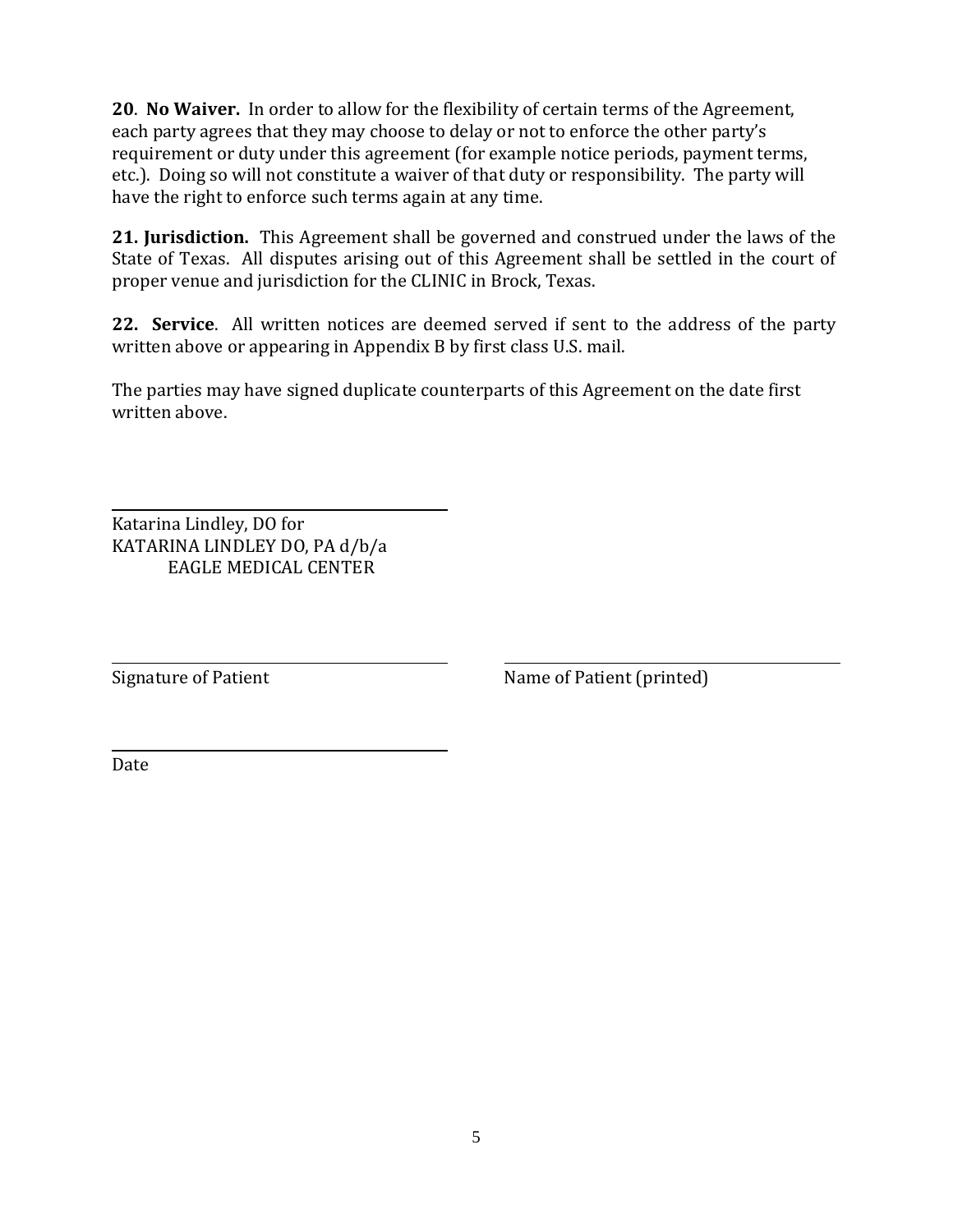**20**. **No Waiver.** In order to allow for the flexibility of certain terms of the Agreement, each party agrees that they may choose to delay or not to enforce the other party's requirement or duty under this agreement (for example notice periods, payment terms, etc.). Doing so will not constitute a waiver of that duty or responsibility. The party will have the right to enforce such terms again at any time.

**21. Jurisdiction.** This Agreement shall be governed and construed under the laws of the State of Texas. All disputes arising out of this Agreement shall be settled in the court of proper venue and jurisdiction for the CLINIC in Brock, Texas.

**22. Service**. All written notices are deemed served if sent to the address of the party written above or appearing in Appendix B by first class U.S. mail.

The parties may have signed duplicate counterparts of this Agreement on the date first written above.

Katarina Lindley, DO for KATARINA LINDLEY DO, PA d/b/a EAGLE MEDICAL CENTER

Signature of Patient Name of Patient (printed)

Date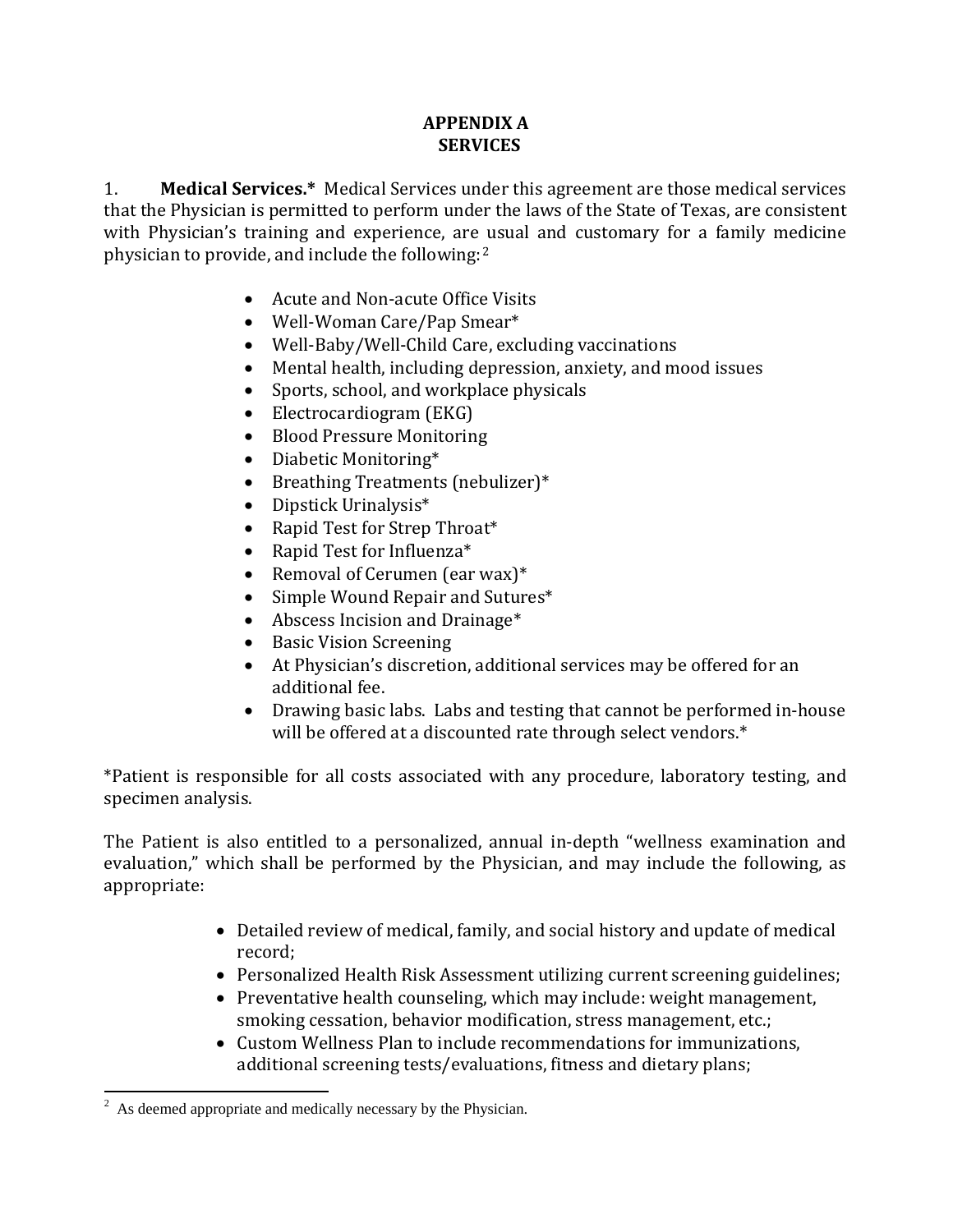# **APPENDIX A SERVICES**

1. **Medical Services.\*** Medical Services under this agreement are those medical services that the Physician is permitted to perform under the laws of the State of Texas, are consistent with Physician's training and experience, are usual and customary for a family medicine physician to provide, and include the following:[2](#page-5-0)

- Acute and Non-acute Office Visits
- Well-Woman Care/Pap Smear\*
- Well-Baby/Well-Child Care, excluding vaccinations
- Mental health, including depression, anxiety, and mood issues
- Sports, school, and workplace physicals
- Electrocardiogram (EKG)
- Blood Pressure Monitoring
- Diabetic Monitoring\*
- Breathing Treatments (nebulizer)\*
- Dipstick Urinalysis\*
- Rapid Test for Strep Throat\*
- Rapid Test for Influenza\*
- Removal of Cerumen (ear wax)\*
- Simple Wound Repair and Sutures\*
- Abscess Incision and Drainage<sup>\*</sup>
- Basic Vision Screening
- At Physician's discretion, additional services may be offered for an additional fee.
- Drawing basic labs. Labs and testing that cannot be performed in-house will be offered at a discounted rate through select vendors.\*

\*Patient is responsible for all costs associated with any procedure, laboratory testing, and specimen analysis.

The Patient is also entitled to a personalized, annual in-depth "wellness examination and evaluation," which shall be performed by the Physician, and may include the following, as appropriate:

- Detailed review of medical, family, and social history and update of medical record;
- Personalized Health Risk Assessment utilizing current screening guidelines;
- Preventative health counseling, which may include: weight management, smoking cessation, behavior modification, stress management, etc.;
- Custom Wellness Plan to include recommendations for immunizations, additional screening tests/evaluations, fitness and dietary plans;

<span id="page-5-0"></span> $\frac{1}{2}$  $\alpha$ <sup>2</sup> As deemed appropriate and medically necessary by the Physician.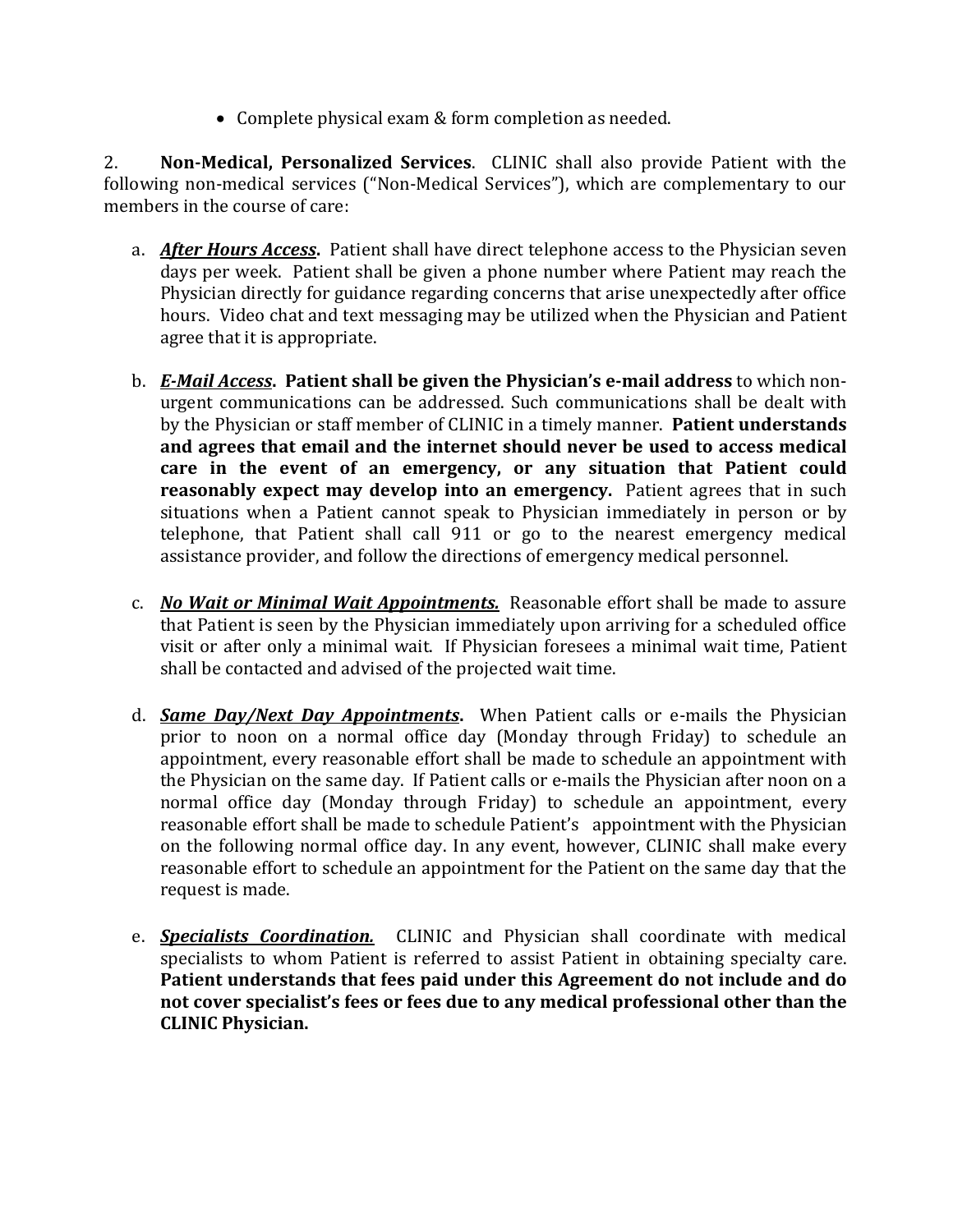• Complete physical exam & form completion as needed.

2. **Non-Medical, Personalized Services**. CLINIC shall also provide Patient with the following non-medical services ("Non-Medical Services"), which are complementary to our members in the course of care:

- a. *After Hours Access***.** Patient shall have direct telephone access to the Physician seven days per week. Patient shall be given a phone number where Patient may reach the Physician directly for guidance regarding concerns that arise unexpectedly after office hours. Video chat and text messaging may be utilized when the Physician and Patient agree that it is appropriate.
- b. *E-Mail Access***. Patient shall be given the Physician's e-mail address** to which nonurgent communications can be addressed. Such communications shall be dealt with by the Physician or staff member of CLINIC in a timely manner. **Patient understands and agrees that email and the internet should never be used to access medical care in the event of an emergency, or any situation that Patient could reasonably expect may develop into an emergency.** Patient agrees that in such situations when a Patient cannot speak to Physician immediately in person or by telephone, that Patient shall call 911 or go to the nearest emergency medical assistance provider, and follow the directions of emergency medical personnel.
- c. *No Wait or Minimal Wait Appointments.* Reasonable effort shall be made to assure that Patient is seen by the Physician immediately upon arriving for a scheduled office visit or after only a minimal wait. If Physician foresees a minimal wait time, Patient shall be contacted and advised of the projected wait time.
- d. *Same Day/Next Day Appointments***.** When Patient calls or e-mails the Physician prior to noon on a normal office day (Monday through Friday) to schedule an appointment, every reasonable effort shall be made to schedule an appointment with the Physician on the same day. If Patient calls or e-mails the Physician after noon on a normal office day (Monday through Friday) to schedule an appointment, every reasonable effort shall be made to schedule Patient's appointment with the Physician on the following normal office day. In any event, however, CLINIC shall make every reasonable effort to schedule an appointment for the Patient on the same day that the request is made.
- e. *Specialists Coordination.*CLINIC and Physician shall coordinate with medical specialists to whom Patient is referred to assist Patient in obtaining specialty care. **Patient understands that fees paid under this Agreement do not include and do not cover specialist's fees or fees due to any medical professional other than the CLINIC Physician.**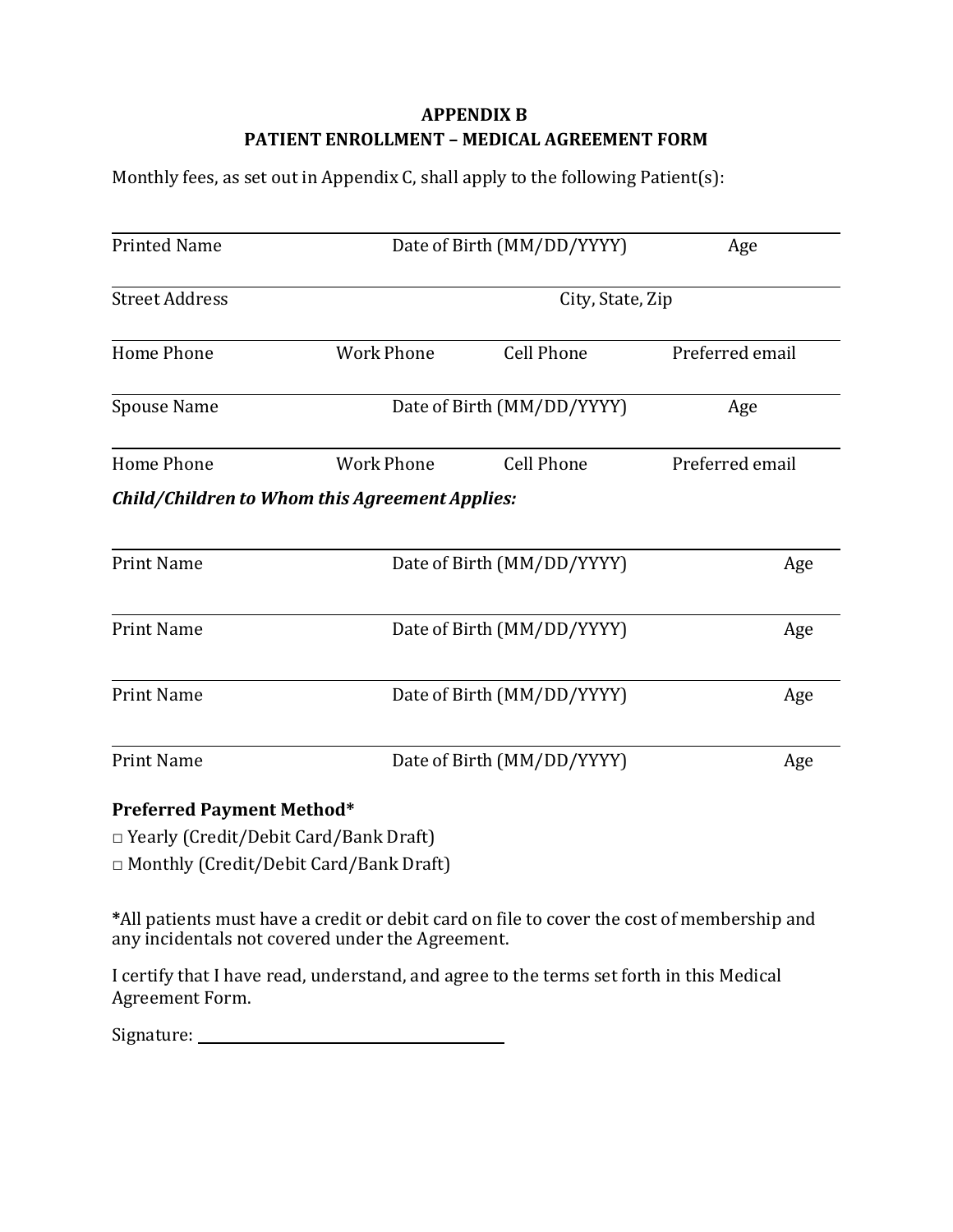# **APPENDIX B PATIENT ENROLLMENT – MEDICAL AGREEMENT FORM**

Monthly fees, as set out in Appendix C, shall apply to the following Patient(s):

| <b>Printed Name</b>              | Date of Birth (MM/DD/YYYY)                     |                            | Age             |
|----------------------------------|------------------------------------------------|----------------------------|-----------------|
| <b>Street Address</b>            | City, State, Zip                               |                            |                 |
| Home Phone                       | <b>Work Phone</b>                              | <b>Cell Phone</b>          | Preferred email |
| Spouse Name                      | Date of Birth (MM/DD/YYYY)                     |                            | Age             |
| Home Phone                       | <b>Work Phone</b>                              | <b>Cell Phone</b>          | Preferred email |
|                                  | Child/Children to Whom this Agreement Applies: |                            |                 |
| <b>Print Name</b>                |                                                | Date of Birth (MM/DD/YYYY) | Age             |
| <b>Print Name</b>                |                                                | Date of Birth (MM/DD/YYYY) | Age             |
| <b>Print Name</b>                |                                                | Date of Birth (MM/DD/YYYY) | Age             |
| <b>Print Name</b>                |                                                | Date of Birth (MM/DD/YYYY) | Age             |
| <b>Preferred Payment Method*</b> |                                                |                            |                 |

□ Yearly (Credit/Debit Card/Bank Draft)

□ Monthly (Credit/Debit Card/Bank Draft)

**\***All patients must have a credit or debit card on file to cover the cost of membership and any incidentals not covered under the Agreement.

I certify that I have read, understand, and agree to the terms set forth in this Medical Agreement Form.

| Signature: |  |
|------------|--|
|            |  |